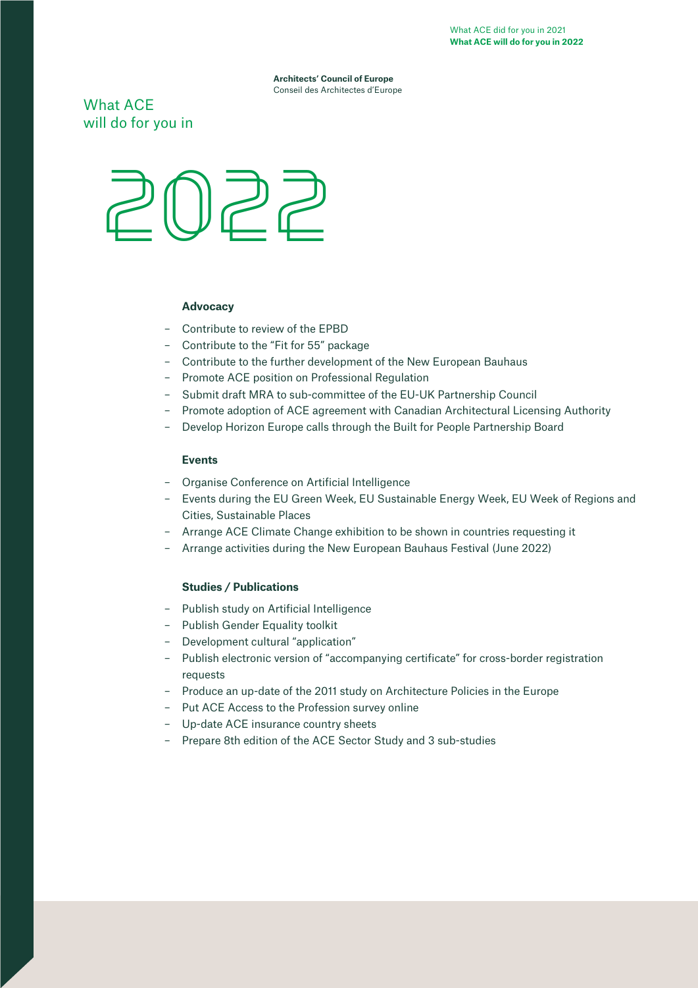**Architects' Council of Europe** Conseil des Architectes d'Europe

What ACE will do for you in



# **Advocacy**

- Contribute to review of the EPBD
- Contribute to the "Fit for 55" package
- Contribute to the further development of the New European Bauhaus
- Promote ACE position on Professional Regulation
- Submit draft MRA to sub-committee of the EU-UK Partnership Council
- Promote adoption of ACE agreement with Canadian Architectural Licensing Authority
- Develop Horizon Europe calls through the Built for People Partnership Board

# **Events**

- Organise Conference on Artificial Intelligence
- Events during the EU Green Week, EU Sustainable Energy Week, EU Week of Regions and Cities, Sustainable Places
- Arrange ACE Climate Change exhibition to be shown in countries requesting it
- Arrange activities during the New European Bauhaus Festival (June 2022)

# **Studies / Publications**

- Publish study on Artificial Intelligence
- Publish Gender Equality toolkit
- Development cultural "application"
- Publish electronic version of "accompanying certificate" for cross-border registration requests
- Produce an up-date of the 2011 study on Architecture Policies in the Europe
- Put ACE Access to the Profession survey online
- Up-date ACE insurance country sheets
- Prepare 8th edition of the ACE Sector Study and 3 sub-studies